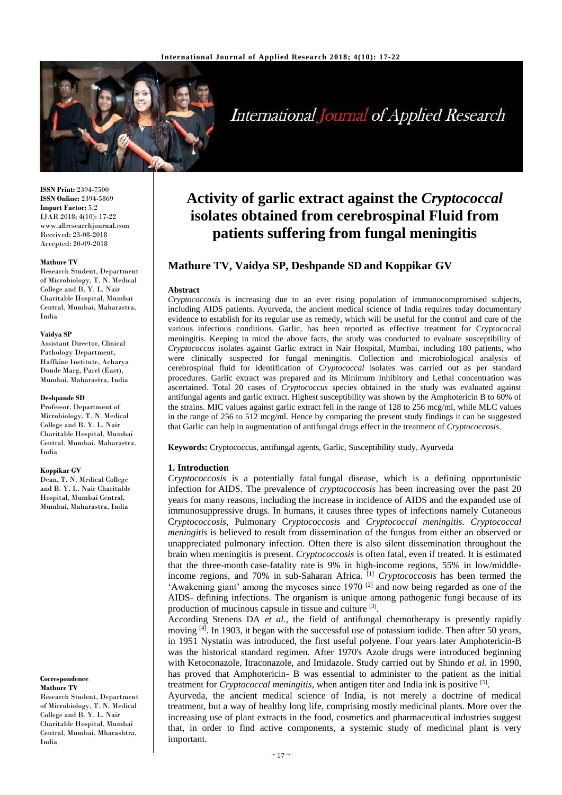

# **International Journal of Applied Research**

**ISSN Print:** 2394-7500 **ISSN Online:** 2394-5869 **Impact Factor:** 5.2 IJAR 2018; 4(10): 17-22 www.allresearchjournal.com Received: 23-08-2018 Accepted: 20-09-2018

#### **Mathure TV**

Research Student, Department of Microbiology, T. N. Medical College and B. Y. L. Nair Charitable Hospital, Mumbai Central, Mumbai, Maharastra, India

#### **Vaidya SP**

Assistant Director, Clinical Pathology Department, Haffkine Institute, Acharya Donde Marg, Parel (East), Mumbai, Maharastra, India

#### **Deshpande SD**

Professor, Department of Microbiology, T. N. Medical College and B. Y. L. Nair Charitable Hospital, Mumbai Central, Mumbai, Maharastra, India

#### **Koppikar GV**

Dean, T. N. Medical College and B. Y. L. Nair Charitable Hospital, Mumbai Central, Mumbai, Maharastra, India

#### **Correspondence**

**Mathure TV** Research Student, Department of Microbiology, T. N. Medical College and B. Y. L. Nair Charitable Hospital, Mumbai Central, Mumbai, Mharashtra, India

## **Activity of garlic extract against the** *Cryptococcal* **isolates obtained from cerebrospinal Fluid from patients suffering from fungal meningitis**

## **Mathure TV, Vaidya SP, Deshpande SD and Koppikar GV**

#### **Abstract**

*Cryptococcosis* is increasing due to an ever rising population of immunocompromised subjects, including AIDS patients. Ayurveda, the ancient medical science of India requires today documentary evidence to establish for its regular use as remedy, which will be useful for the control and cure of the various infectious conditions. Garlic, has been reported as effective treatment for Cryptococcal meningitis. Keeping in mind the above facts, the study was conducted to evaluate susceptibility of *Cryptococcus* isolates against Garlic extract in Nair Hospital, Mumbai, including 180 patients, who were clinically suspected for fungal meningitis. Collection and microbiological analysis of cerebrospinal fluid for identification of *Cryptococcal* isolates was carried out as per standard procedures. Garlic extract was prepared and its Minimum Inhibitory and Lethal concentration was ascertained. Total 20 cases of *Cryptococcus* species obtained in the study was evaluated against antifungal agents and garlic extract. Highest susceptibility was shown by the Amphotericin B to 60% of the strains. MIC values against garlic extract fell in the range of 128 to 256 mcg/ml, while MLC values in the range of 256 to 512 mcg/ml. Hence by comparing the present study findings it can be suggested that Garlic can help in augmentation of antifungal drugs effect in the treatment of *Cryptococcosis*.

**Keywords:** Cryptococcus, antifungal agents, Garlic, Susceptibility study, Ayurveda

### **1. Introduction**

*Cryptococcosis* is a potentially fatal fungal disease, which is a defining opportunistic infection for AIDS. The prevalence of *cryptococcosis* has been increasing over the past 20 years for many reasons, including the increase in incidence of AIDS and the expanded use of immunosuppressive drugs. In humans, it causes three types of infections namely Cutaneous C*ryptococcosis*, Pulmonary C*ryptococcosis* and *Cryptococcal meningitis. Cryptococcal meningitis* is believed to result from dissemination of the fungus from either an observed or unappreciated pulmonary infection. Often there is also silent dissemination throughout the brain when meningitis is present. *Cryptococcosis* is often fatal, even if treated. It is estimated that the three-month case-fatality rate is 9% in high-income regions, 55% in low/middleincome regions, and 70% in sub-Saharan Africa. [1] *Cryptococcosis* has been termed the 'Awakening giant' among the mycoses since 1970 [2] and now being regarded as one of the AIDS- defining infections. The organism is unique among pathogenic fungi because of its production of mucinous capsule in tissue and culture [3].

According Stenens DA *et al.*, the field of antifungal chemotherapy is presently rapidly moving <sup>[4]</sup>. In 1903, it began with the successful use of potassium iodide. Then after 50 years, in 1951 Nystatin was introduced, the first useful polyene. Four years later Amphotericin-B was the historical standard regimen. After 1970's Azole drugs were introduced beginning with Ketoconazole, Itraconazole, and Imidazole. Study carried out by Shindo *et al.* in 1990, has proved that Amphotericin- B was essential to administer to the patient as the initial treatment for *Cryptococcal meningitis*, when antigen titer and India ink is positive [5] .

Ayurveda, the ancient medical science of India, is not merely a doctrine of medical treatment, but a way of healthy long life, comprising mostly medicinal plants. More over the increasing use of plant extracts in the food, cosmetics and pharmaceutical industries suggest that, in order to find active components, a systemic study of medicinal plant is very important.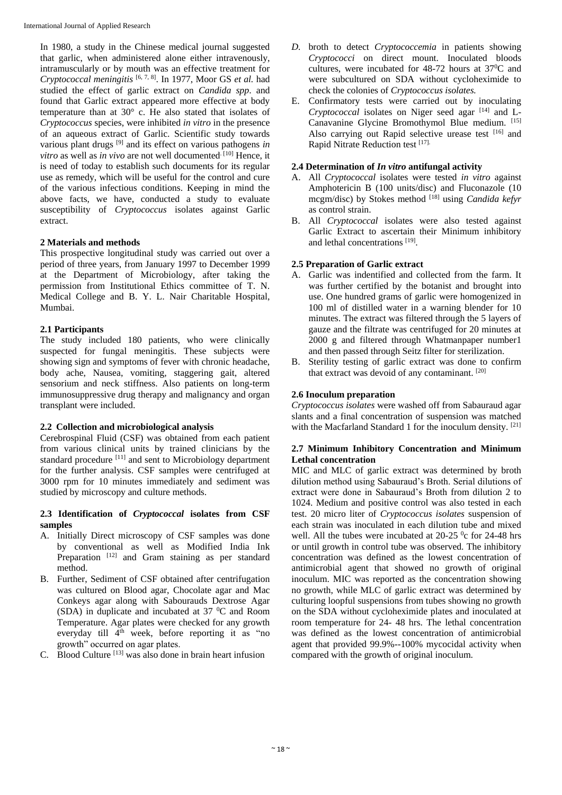In 1980, a study in the Chinese medical journal suggested that garlic, when administered alone either intravenously, intramuscularly or by mouth was an effective treatment for *Cryptococcal meningitis* [6, 7, 8]. In 1977, Moor GS *et al.* had studied the effect of garlic extract on *Candida spp*. and found that Garlic extract appeared more effective at body temperature than at 30° c. He also stated that isolates of *Cryptococcus* species, were inhibited *in vitro* in the presence of an aqueous extract of Garlic. Scientific study towards various plant drugs [9] and its effect on various pathogens *in vitro* as well as *in vivo* are not well documented.<sup>[10]</sup> Hence, it is need of today to establish such documents for its regular use as remedy, which will be useful for the control and cure of the various infectious conditions. Keeping in mind the above facts, we have, conducted a study to evaluate susceptibility of *Cryptococcus* isolates against Garlic extract.

## **2 Materials and methods**

This prospective longitudinal study was carried out over a period of three years, from January 1997 to December 1999 at the Department of Microbiology, after taking the permission from Institutional Ethics committee of T. N. Medical College and B. Y. L. Nair Charitable Hospital, Mumbai.

## **2.1 Participants**

The study included 180 patients, who were clinically suspected for fungal meningitis. These subjects were showing sign and symptoms of fever with chronic headache, body ache, Nausea, vomiting, staggering gait, altered sensorium and neck stiffness. Also patients on long-term immunosuppressive drug therapy and malignancy and organ transplant were included.

### **2.2 Collection and microbiological analysis**

Cerebrospinal Fluid (CSF) was obtained from each patient from various clinical units by trained clinicians by the standard procedure [11] and sent to Microbiology department for the further analysis. CSF samples were centrifuged at 3000 rpm for 10 minutes immediately and sediment was studied by microscopy and culture methods.

### **2.3 Identification of** *Cryptococcal* **isolates from CSF samples**

- A. Initially Direct microscopy of CSF samples was done by conventional as well as Modified India Ink Preparation  $[12]$  and Gram staining as per standard method.
- B. Further, Sediment of CSF obtained after centrifugation was cultured on Blood agar, Chocolate agar and Mac Conkeys agar along with Sabourauds Dextrose Agar (SDA) in duplicate and incubated at 37 <sup>0</sup>C and Room Temperature. Agar plates were checked for any growth everyday till 4<sup>th</sup> week, before reporting it as "no growth" occurred on agar plates.
- C. Blood Culture  $[13]$  was also done in brain heart infusion
- *D.* broth to detect *Cryptococcemia* in patients showing *Cryptococci* on direct mount. Inoculated bloods cultures, were incubated for 48-72 hours at 37<sup>0</sup>C and were subcultured on SDA without cycloheximide to check the colonies of *Cryptococcus isolates.*
- E. Confirmatory tests were carried out by inoculating *Cryptococcal* isolates on Niger seed agar <sup>[14]</sup> and L-Canavanine Glycine Bromothymol Blue medium. [15] Also carrying out Rapid selective urease test [16] and Rapid Nitrate Reduction test [17].

## **2.4 Determination of** *In vitro* **antifungal activity**

- A. All *Cryptococcal* isolates were tested *in vitro* against Amphotericin B (100 units/disc) and Fluconazole (10 mcgm/disc) by Stokes method [18] using *Candida kefyr* as control strain.
- B. All *Cryptococcal* isolates were also tested against Garlic Extract to ascertain their Minimum inhibitory and lethal concentrations [19].

## **2.5 Preparation of Garlic extract**

- A. Garlic was indentified and collected from the farm. It was further certified by the botanist and brought into use. One hundred grams of garlic were homogenized in 100 ml of distilled water in a warning blender for 10 minutes. The extract was filtered through the 5 layers of gauze and the filtrate was centrifuged for 20 minutes at 2000 g and filtered through Whatmanpaper number1 and then passed through Seitz filter for sterilization.
- B. Sterility testing of garlic extract was done to confirm that extract was devoid of any contaminant. [20]

## **2.6 Inoculum preparation**

*Cryptococcus isolates* were washed off from Sabauraud agar slants and a final concentration of suspension was matched with the Macfarland Standard 1 for the inoculum density. [21]

### **2.7 Minimum Inhibitory Concentration and Minimum Lethal concentration**

MIC and MLC of garlic extract was determined by broth dilution method using Sabauraud's Broth. Serial dilutions of extract were done in Sabauraud's Broth from dilution 2 to 1024. Medium and positive control was also tested in each test. 20 micro liter of *Cryptococcus isolates* suspension of each strain was inoculated in each dilution tube and mixed well. All the tubes were incubated at  $20-25$  °c for 24-48 hrs or until growth in control tube was observed. The inhibitory concentration was defined as the lowest concentration of antimicrobial agent that showed no growth of original inoculum. MIC was reported as the concentration showing no growth, while MLC of garlic extract was determined by culturing loopful suspensions from tubes showing no growth on the SDA without cycloheximide plates and inoculated at room temperature for 24- 48 hrs. The lethal concentration was defined as the lowest concentration of antimicrobial agent that provided 99.9%--100% mycocidal activity when compared with the growth of original inoculum.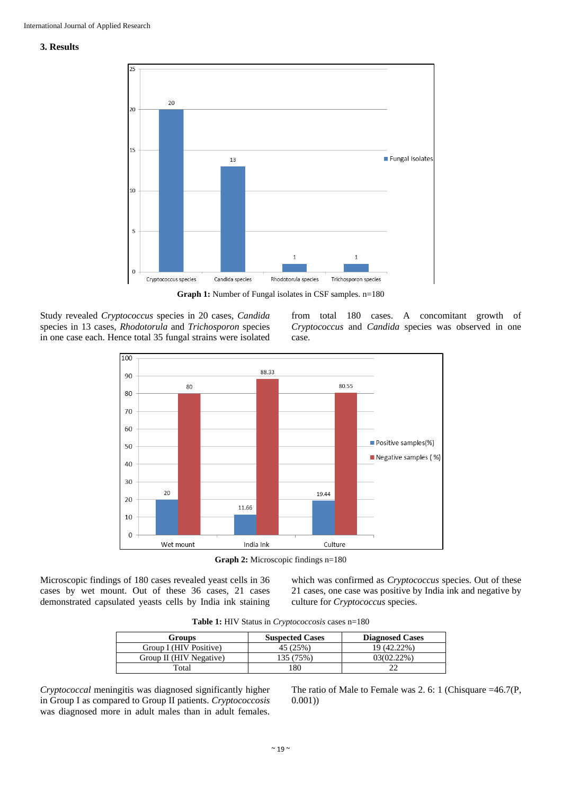#### **3. Results**



**Graph 1:** Number of Fungal isolates in CSF samples. n=180

Study revealed *Cryptococcus* species in 20 cases, *Candida*  species in 13 cases, *Rhodotorula* and *Trichosporon* species in one case each. Hence total 35 fungal strains were isolated

from total 180 cases. A concomitant growth of *Cryptococcus* and *Candida* species was observed in one case.



**Graph 2:** Microscopic findings n=180

Microscopic findings of 180 cases revealed yeast cells in 36 cases by wet mount. Out of these 36 cases, 21 cases demonstrated capsulated yeasts cells by India ink staining which was confirmed as *Cryptococcus* species. Out of these 21 cases, one case was positive by India ink and negative by culture for *Cryptococcus* species.

| <b>Table 1:</b> HIV Status in <i>Cryptococcosis</i> cases n=180 |  |  |  |  |
|-----------------------------------------------------------------|--|--|--|--|
|-----------------------------------------------------------------|--|--|--|--|

| <b>Groups</b>           | <b>Suspected Cases</b> | <b>Diagnosed Cases</b> |
|-------------------------|------------------------|------------------------|
| Group I (HIV Positive)  | 45 (25%)               | 19 (42.22%)            |
| Group II (HIV Negative) | .35 (75%)              | 03(02.22%)             |
| "otal                   | 180                    |                        |

*Cryptococcal* meningitis was diagnosed significantly higher in Group I as compared to Group II patients. *Cryptococcosis*  was diagnosed more in adult males than in adult females.

The ratio of Male to Female was 2. 6: 1 (Chisquare =46.7(P, 0.001))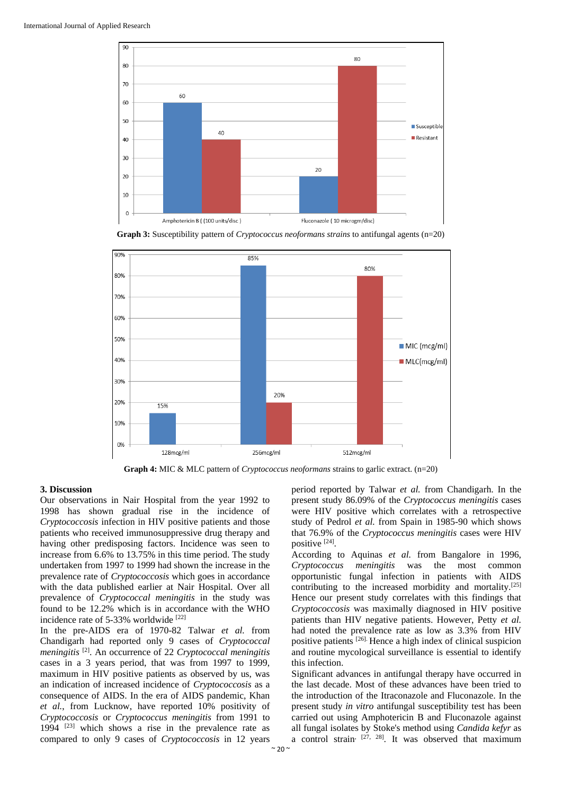

**Graph 3:** Susceptibility pattern of *Cryptococcus neoformans strains* to antifungal agents (n=20)



**Graph 4:** MIC & MLC pattern of *Cryptococcus neoformans* strains to garlic extract. (n=20)

#### **3. Discussion**

Our observations in Nair Hospital from the year 1992 to 1998 has shown gradual rise in the incidence of *Cryptococcosis* infection in HIV positive patients and those patients who received immunosuppressive drug therapy and having other predisposing factors. Incidence was seen to increase from 6.6% to 13.75% in this time period. The study undertaken from 1997 to 1999 had shown the increase in the prevalence rate of *Cryptococcosis* which goes in accordance with the data published earlier at Nair Hospital. Over all prevalence of *Cryptococcal meningitis* in the study was found to be 12.2% which is in accordance with the WHO incidence rate of 5-33% worldwide [22]

In the pre-AIDS era of 1970-82 Talwar *et al.* from Chandigarh had reported only 9 cases of *Cryptococcal meningitis* [2]. An occurrence of 22 *Cryptococcal meningitis* cases in a 3 years period, that was from 1997 to 1999, maximum in HIV positive patients as observed by us, was an indication of increased incidence of *Cryptococcosis* as a consequence of AIDS. In the era of AIDS pandemic, Khan *et al.*, from Lucknow, have reported 10% positivity of *Cryptococcosis* or *Cryptococcus meningitis* from 1991 to 1994 [23] which shows a rise in the prevalence rate as compared to only 9 cases of *Cryptococcosis* in 12 years

period reported by Talwar *et al.* from Chandigarh. In the present study 86.09% of the *Cryptococcus meningitis* cases were HIV positive which correlates with a retrospective study of Pedrol *et al.* from Spain in 1985-90 which shows that 76.9% of the *Cryptococcus meningitis* cases were HIV positive [24] .

According to Aquinas *et al.* from Bangalore in 1996, *Cryptococcus meningitis* was the most common opportunistic fungal infection in patients with AIDS contributing to the increased morbidity and mortality.[25] Hence our present study correlates with this findings that *Cryptococcosis* was maximally diagnosed in HIV positive patients than HIV negative patients. However, Petty *et al.* had noted the prevalence rate as low as 3.3% from HIV positive patients [26]. Hence a high index of clinical suspicion and routine mycological surveillance is essential to identify this infection.

Significant advances in antifungal therapy have occurred in the last decade. Most of these advances have been tried to the introduction of the Itraconazole and Fluconazole. In the present study *in vitro* antifungal susceptibility test has been carried out using Amphotericin B and Fluconazole against all fungal isolates by Stoke's method using *Candida kefyr* as a control strain,  $[27, 28]$ . It was observed that maximum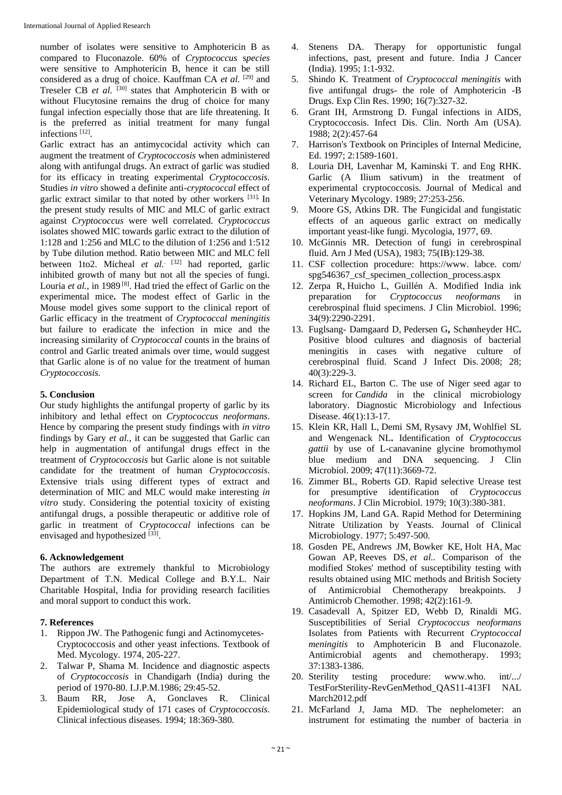number of isolates were sensitive to Amphotericin B as compared to Fluconazole. 60% of *Cryptococcus* s*pecies* were sensitive to Amphotericin B, hence it can be still considered as a drug of choice. Kauffman CA *et al.* [29] and Treseler CB *et al.* [30] states that Amphotericin B with or without Flucytosine remains the drug of choice for many fungal infection especially those that are life threatening. It is the preferred as initial treatment for many fungal infections [12] .

Garlic extract has an antimycocidal activity which can augment the treatment of *Cryptococcosis* when administered along with antifungal drugs. An extract of garlic was studied for its efficacy in treating experimental *Cryptococcosis.* Studies *in vitro* showed a definite anti-*cryptococcal* effect of garlic extract similar to that noted by other workers [31]**.** In the present study results of MIC and MLC of garlic extract against *Cryptococcus* were well correlated. *Cryptococcus*  isolates showed MIC towards garlic extract to the dilution of 1:128 and 1:256 and MLC to the dilution of 1:256 and 1:512 by Tube dilution method. Ratio between MIC and MLC fell between 1to2. Micheal *et al.* <sup>[32]</sup> had reported, garlic inhibited growth of many but not all the species of fungi. Louria et al., in 1989<sup>[8]</sup>. Had tried the effect of Garlic on the experimental mice**.** The modest effect of Garlic in the Mouse model gives some support to the clinical report of Garlic efficacy in the treatment of *Cryptococcal meningitis* but failure to eradicate the infection in mice and the increasing similarity of *Cryptococcal* counts in the brains of control and Garlic treated animals over time, would suggest that Garlic alone is of no value for the treatment of human *Cryptococcosis.* 

## **5. Conclusion**

Our study highlights the antifungal property of garlic by its inhibitory and lethal effect on *Cryptococcus neoformans*. Hence by comparing the present study findings with *in vitro* findings by Gary *et al.*, it can be suggested that Garlic can help in augmentation of antifungal drugs effect in the treatment of *Cryptococcosis* but Garlic alone is not suitable candidate for the treatment of human *Cryptococcosis*. Extensive trials using different types of extract and determination of MIC and MLC would make interesting *in vitro* study. Considering the potential toxicity of existing antifungal drugs, a possible therapeutic or additive role of garlic in treatment of C*ryptococcal* infections can be envisaged and hypothesized [33].

### **6. Acknowledgement**

The authors are extremely thankful to Microbiology Department of T.N. Medical College and B.Y.L. Nair Charitable Hospital, India for providing research facilities and moral support to conduct this work.

### **7. References**

- 1. Rippon JW. The Pathogenic fungi and Actinomycetes-Cryptococcosis and other yeast infections. Textbook of Med. Mycology. 1974, 205-227.
- 2. Talwar P, Shama M. Incidence and diagnostic aspects of *Cryptococcosis* in Chandigarh (India) during the period of 1970-80. I.J.P.M.1986; 29:45-52.
- 3. Baum RR, Jose A, Gonclaves R. Clinical Epidemiological study of 171 cases of *Cryptococcosis.* Clinical infectious diseases. 1994; 18:369-380.
- 4. Stenens DA. Therapy for opportunistic fungal infections, past, present and future. India J Cancer (India). 1995; 1:1-932.
- 5. Shindo K. Treatment of *Cryptococcal meningitis* with five antifungal drugs- the role of Amphotericin -B Drugs. Exp Clin Res. 1990; 16(7):327-32.
- 6. Grant IH, Armstrong D. Fungal infections in AIDS, Cryptococcosis. Infect Dis. Clin. North Am (USA). 1988; 2(2):457-64
- 7. Harrison's Textbook on Principles of Internal Medicine, Ed. 1997; 2:1589-1601.
- 8. Louria DH, Lavenhar M, Kaminski T. and Eng RHK. Garlic (A Ilium sativum) in the treatment of experimental cryptococcosis. Journal of Medical and Veterinary Mycology. 1989; 27:253-256.
- 9. Moore GS, Atkins DR. The Fungicidal and fungistatic effects of an aqueous garlic extract on medically important yeast-like fungi. Mycologia, 1977, 69.
- 10. McGinnis MR. Detection of fungi in cerebrospinal fluid. Arn J Med (USA), 1983; 75(IB):129-38.
- 11. CSF collection procedure: https://www. labce. com/ spg546367 csf specimen collection process.aspx
- 12. Zerpa R, Huicho L, Guillén A. Modified India ink preparation for *Cryptococcus neoformans* in cerebrospinal fluid specimens. J Clin Microbiol. 1996; 34(9):2290-2291.
- 13. Fuglsang- Damgaard D, Pedersen G**,** Schønheyder HC**.**  Positive blood cultures and diagnosis of bacterial meningitis in cases with negative culture of cerebrospinal fluid. Scand J Infect Dis. 2008; 28; 40(3):229-3.
- 14. Richard EL, Barton C. The use of Niger seed agar to screen for *Candida* in the clinical microbiology laboratory. Diagnostic Microbiology and Infectious Disease. 46(1):13-17.
- 15. Klein KR, Hall L, Demi SM, Rysavy JM, Wohlfiel SL and Wengenack NL**.** Identification of *Cryptococcus gattii* by use of L-canavanine glycine bromothymol blue medium and DNA sequencing. J Clin Microbiol. 2009; 47(11):3669-72.
- 16. Zimmer BL, Roberts GD. Rapid selective Urease test for presumptive identification of *Cryptococcus neoformans*. J Clin Microbiol. 1979; 10(3):380-381.
- 17. Hopkins JM, Land GA. Rapid Method for Determining Nitrate Utilization by Yeasts. Journal of Clinical Microbiology. 1977; 5:497-500.
- 18. Gosden PE, Andrews JM, Bowker KE, Holt HA, Mac Gowan AP, Reeves DS, *et al..* Comparison of the modified Stokes' method of susceptibility testing with results obtained using MIC methods and British Society of Antimicrobial Chemotherapy breakpoints. J Antimicrob Chemother. 1998; 42(2):161-9.
- 19. Casadevall A, Spitzer ED, Webb D, Rinaldi MG. Susceptibilities of Serial *Cryptococcus neoformans*  Isolates from Patients with Recurrent *Cryptococcal meningitis* to Amphotericin B and Fluconazole. Antimicrobial agents and chemotherapy. 1993; 37:1383-1386.
- 20. Sterility testing procedure: www.who. int/.../ TestForSterility-RevGenMethod\_QAS11-413FI NAL March2012.pdf
- 21. McFarland J, Jama MD. The nephelometer: an instrument for estimating the number of bacteria in